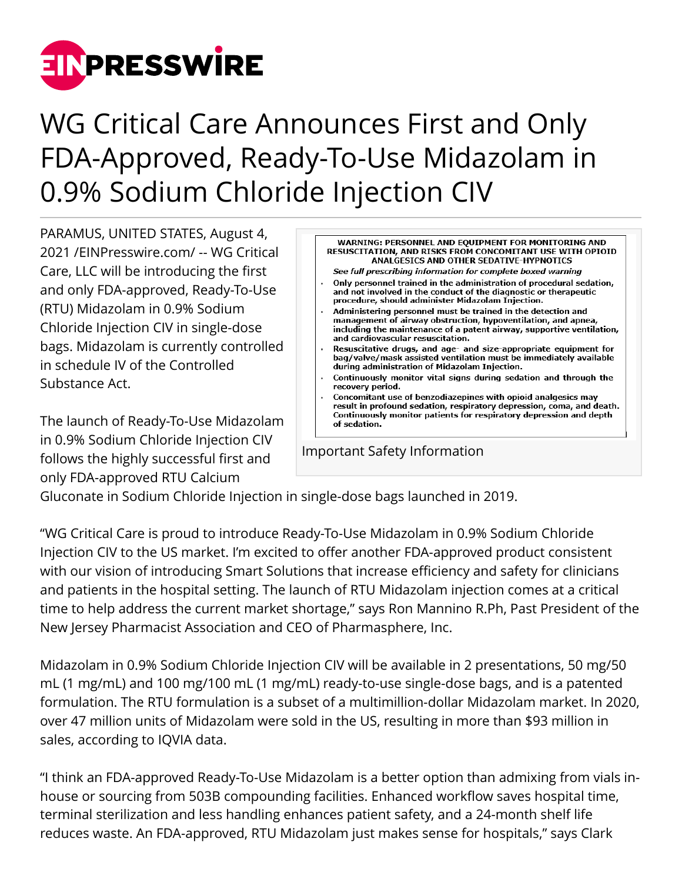

## WG Critical Care Announces First and Only FDA-Approved, Ready-To-Use Midazolam in 0.9% Sodium Chloride Injection CIV

PARAMUS, UNITED STATES, August 4, 2021 /[EINPresswire.com](http://www.einpresswire.com)/ -- WG Critical Care, LLC will be introducing the first and only FDA-approved, Ready-To-Use (RTU) Midazolam in 0.9% Sodium Chloride Injection CIV in single-dose bags. Midazolam is currently controlled in schedule IV of the Controlled Substance Act.

The launch of Ready-To-Use Midazolam in 0.9% Sodium Chloride Injection CIV follows the highly successful first and only FDA-approved RTU Calcium



Gluconate in Sodium Chloride Injection in single-dose bags launched in 2019.

"WG Critical Care is proud to introduce Ready-To-Use Midazolam in 0.9% Sodium Chloride Injection CIV to the US market. I'm excited to offer another FDA-approved product consistent with our vision of introducing Smart Solutions that increase efficiency and safety for clinicians and patients in the hospital setting. The launch of RTU Midazolam injection comes at a critical time to help address the current market shortage," says Ron Mannino R.Ph, Past President of the New Jersey Pharmacist Association and CEO of Pharmasphere, Inc.

Midazolam in 0.9% Sodium Chloride Injection CIV will be available in 2 presentations, 50 mg/50 mL (1 mg/mL) and 100 mg/100 mL (1 mg/mL) ready-to-use single-dose bags, and is a patented formulation. The RTU formulation is a subset of a multimillion-dollar Midazolam market. In 2020, over 47 million units of Midazolam were sold in the US, resulting in more than \$93 million in sales, according to IQVIA data.

"I think an FDA-approved Ready-To-Use Midazolam is a better option than admixing from vials inhouse or sourcing from 503B compounding facilities. Enhanced workflow saves hospital time, terminal sterilization and less handling enhances patient safety, and a 24-month shelf life reduces waste. An FDA-approved, RTU Midazolam just makes sense for hospitals," says Clark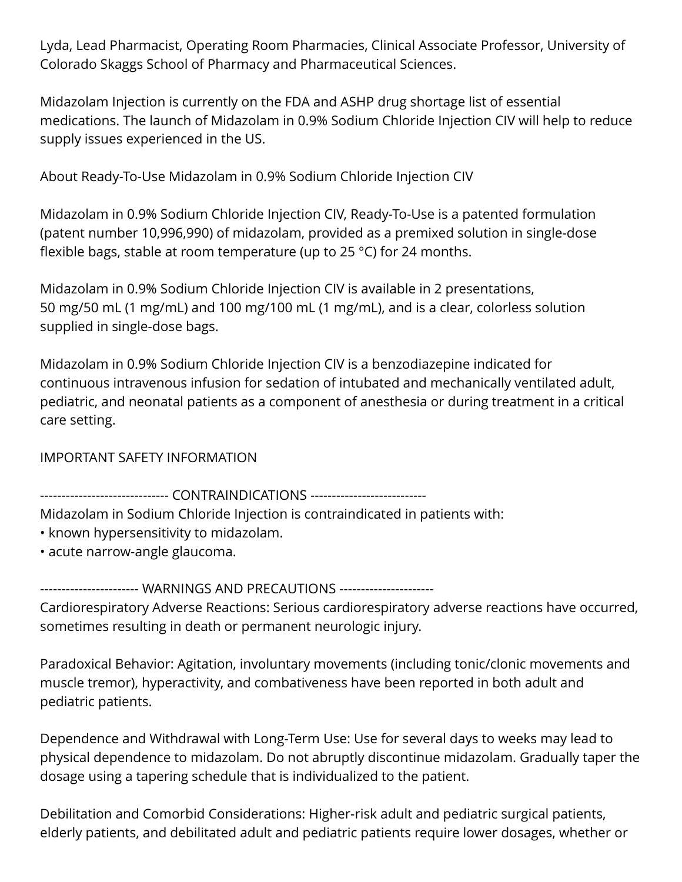Lyda, Lead Pharmacist, Operating Room Pharmacies, Clinical Associate Professor, University of Colorado Skaggs School of Pharmacy and Pharmaceutical Sciences.

Midazolam Injection is currently on the FDA and ASHP drug shortage list of essential medications. The launch of Midazolam in 0.9% Sodium Chloride Injection CIV will help to reduce supply issues experienced in the US.

About Ready-To-Use Midazolam in 0.9% Sodium Chloride Injection CIV

Midazolam in 0.9% Sodium Chloride Injection CIV, Ready-To-Use is a patented formulation (patent number 10,996,990) of midazolam, provided as a premixed solution in single-dose flexible bags, stable at room temperature (up to 25 °C) for 24 months.

Midazolam in 0.9% Sodium Chloride Injection CIV is available in 2 presentations, 50 mg/50 mL (1 mg/mL) and 100 mg/100 mL (1 mg/mL), and is a clear, colorless solution supplied in single-dose bags.

Midazolam in 0.9% Sodium Chloride Injection CIV is a benzodiazepine indicated for continuous intravenous infusion for sedation of intubated and mechanically ventilated adult, pediatric, and neonatal patients as a component of anesthesia or during treatment in a critical care setting.

IMPORTANT SAFETY INFORMATION

------------------------------ CONTRAINDICATIONS ---------------------------

Midazolam in Sodium Chloride Injection is contraindicated in patients with:

- known hypersensitivity to midazolam.
- acute narrow-angle glaucoma.

------------------- WARNINGS AND PRECAUTIONS ----------------------Cardiorespiratory Adverse Reactions: Serious cardiorespiratory adverse reactions have occurred, sometimes resulting in death or permanent neurologic injury.

Paradoxical Behavior: Agitation, involuntary movements (including tonic/clonic movements and muscle tremor), hyperactivity, and combativeness have been reported in both adult and pediatric patients.

Dependence and Withdrawal with Long-Term Use: Use for several days to weeks may lead to physical dependence to midazolam. Do not abruptly discontinue midazolam. Gradually taper the dosage using a tapering schedule that is individualized to the patient.

Debilitation and Comorbid Considerations: Higher-risk adult and pediatric surgical patients, elderly patients, and debilitated adult and pediatric patients require lower dosages, whether or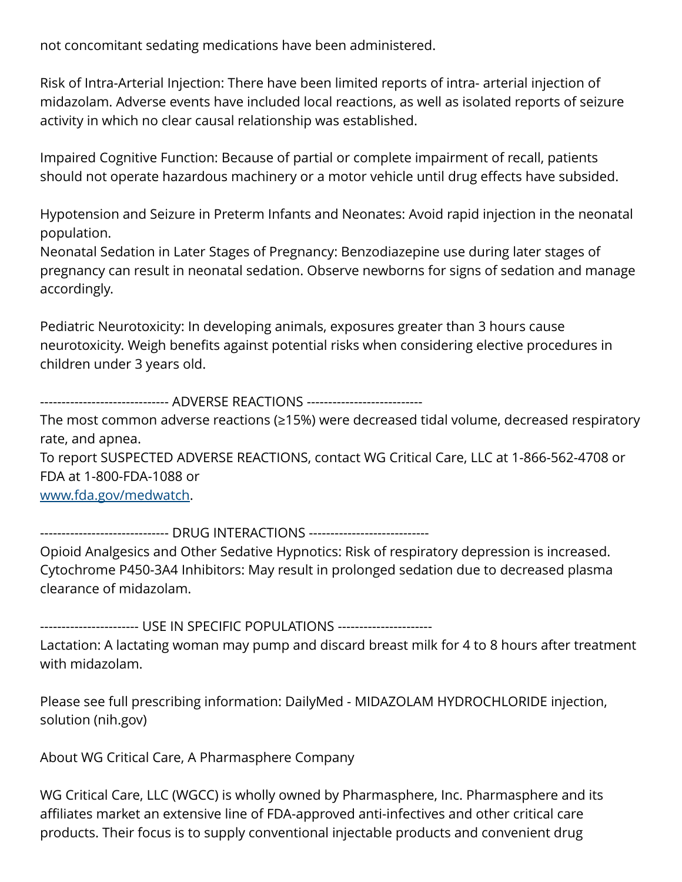not concomitant sedating medications have been administered.

Risk of Intra-Arterial Injection: There have been limited reports of intra- arterial injection of midazolam. Adverse events have included local reactions, as well as isolated reports of seizure activity in which no clear causal relationship was established.

Impaired Cognitive Function: Because of partial or complete impairment of recall, patients should not operate hazardous machinery or a motor vehicle until drug effects have subsided.

Hypotension and Seizure in Preterm Infants and Neonates: Avoid rapid injection in the neonatal population.

Neonatal Sedation in Later Stages of Pregnancy: Benzodiazepine use during later stages of pregnancy can result in neonatal sedation. Observe newborns for signs of sedation and manage accordingly.

Pediatric Neurotoxicity: In developing animals, exposures greater than 3 hours cause neurotoxicity. Weigh benefits against potential risks when considering elective procedures in children under 3 years old.

------------------------------ ADVERSE REACTIONS ---------------------------

The most common adverse reactions (≥15%) were decreased tidal volume, decreased respiratory rate, and apnea.

To report SUSPECTED ADVERSE REACTIONS, contact WG Critical Care, LLC at 1-866-562-4708 or FDA at 1-800-FDA-1088 or

[www.fda.gov/medwatch](http://www.fda.gov/medwatch).

---------------------- DRUG INTERACTIONS -------------------------

Opioid Analgesics and Other Sedative Hypnotics: Risk of respiratory depression is increased. Cytochrome P450-3A4 Inhibitors: May result in prolonged sedation due to decreased plasma clearance of midazolam.

----------------------- USE IN SPECIFIC POPULATIONS ----------------------

Lactation: A lactating woman may pump and discard breast milk for 4 to 8 hours after treatment with midazolam.

Please see full prescribing information: DailyMed - MIDAZOLAM HYDROCHLORIDE injection, solution (nih.gov)

About WG Critical Care, A Pharmasphere Company

WG Critical Care, LLC (WGCC) is wholly owned by Pharmasphere, Inc. Pharmasphere and its affiliates market an extensive line of FDA-approved anti-infectives and other critical care products. Their focus is to supply conventional injectable products and convenient drug